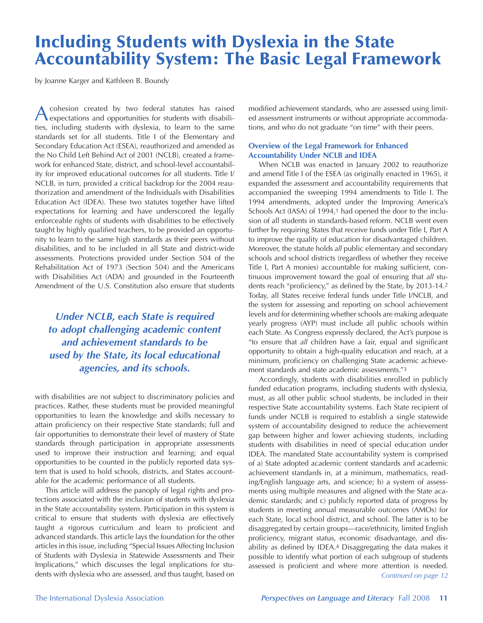# Including Students with Dyslexia in the State Accountability System: The Basic Legal Framework

by Joanne Karger and Kathleen B. Boundy

Acohesion created by two federal statutes has raised expectations and opportunities for students with disabilities, including students with dyslexia, to learn to the same standards set for all students. Title I of the Elementary and Secondary Education Act (ESEA), reauthorized and amended as the No Child Left Behind Act of 2001 (NCLB), created a framework for enhanced State, district, and school-level accountability for improved educational outcomes for all students. Title I/ NCLB, in turn, provided a critical backdrop for the 2004 reauthorization and amendment of the Individuals with Disabilities Education Act (IDEA). These two statutes together have lifted expectations for learning and have underscored the legally enforceable rights of students with disabilities to be effectively taught by highly qualified teachers, to be provided an opportunity to learn to the same high standards as their peers without disabilities, and to be included in all State and district-wide assessments. Protections provided under Section 504 of the Rehabilitation Act of 1973 (Section 504) and the Americans with Disabilities Act (ADA) and grounded in the Fourteenth Amendment of the U.S. Constitution also ensure that students

*Under NCLB, each State is required to adopt challenging academic content and achievement standards to be used by the State, its local educational agencies, and its schools.*

with disabilities are not subject to discriminatory policies and practices. Rather, these students must be provided meaningful opportunities to learn the knowledge and skills necessary to attain proficiency on their respective State standards; full and fair opportunities to demonstrate their level of mastery of State standards through participation in appropriate assessments used to improve their instruction and learning; and equal opportunities to be counted in the publicly reported data system that is used to hold schools, districts, and States accountable for the academic performance of all students.

This article will address the panoply of legal rights and protections associated with the inclusion of students with dyslexia in the State accountability system. Participation in this system is critical to ensure that students with dyslexia are effectively taught a rigorous curriculum and learn to proficient and advanced standards. This article lays the foundation for the other articles in this issue, including "Special Issues Affecting Inclusion of Students with Dyslexia in Statewide Assessments and Their Implications," which discusses the legal implications for students with dyslexia who are assessed, and thus taught, based on

modified achievement standards, who are assessed using limited assessment instruments or without appropriate accommodations, and who do not graduate "on time" with their peers.

### **Overview of the Legal Framework for Enhanced Accountability Under NCLB and IDEA**

When NCLB was enacted in January 2002 to reauthorize and amend Title I of the ESEA (as originally enacted in 1965), it expanded the assessment and accountability requirements that accompanied the sweeping 1994 amendments to Title I. The 1994 amendments, adopted under the Improving America's Schools Act (IASA) of 1994,<sup>1</sup> had opened the door to the inclusion of all students in standards-based reform. NCLB went even further by requiring States that receive funds under Title I, Part A to improve the quality of education for disadvantaged children. Moreover, the statute holds *all* public elementary and secondary schools and school districts (regardless of whether they receive Title I, Part A monies) accountable for making sufficient, continuous improvement toward the goal of ensuring that *all* students reach "proficiency," as defined by the State, by 2013-14.2 Today, all States receive federal funds under Title I/NCLB, and the system for assessing and reporting on school achievement levels and for determining whether schools are making adequate yearly progress (AYP) must include all public schools within each State. As Congress expressly declared, the Act's purpose is "to ensure that *all* children have a fair, equal and significant opportunity to obtain a high-quality education and reach, at a minimum, proficiency on challenging State academic achievement standards and state academic assessments."3

Accordingly, students with disabilities enrolled in publicly funded education programs, including students with dyslexia, must, as all other public school students, be included in their respective State accountability systems. Each State recipient of funds under NCLB is required to establish a single statewide system of accountability designed to reduce the achievement gap between higher and lower achieving students, including students with disabilities in need of special education under IDEA. The mandated State accountability system is comprised of a) State adopted academic content standards and academic achievement standards in, at a minimum, mathematics, reading/English language arts, and science; b) a system of assessments using multiple measures and aligned with the State academic standards; and c) publicly reported data of progress by students in meeting annual measurable outcomes (AMOs) for each State, local school district, and school. The latter is to be disaggregated by certain groups—race/ethnicity, limited English proficiency, migrant status, economic disadvantage, and disability as defined by IDEA.4 Disaggregating the data makes it possible to identify what portion of each subgroup of students assessed is proficient and where more attention is needed. *Continued on page 12*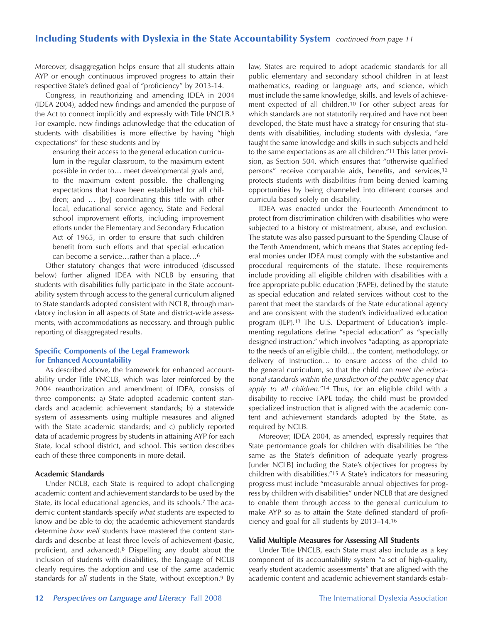# Including Students with Dyslexia in the State Accountability System *continued from page 11*

Moreover, disaggregation helps ensure that all students attain AYP or enough continuous improved progress to attain their respective State's defined goal of "proficiency" by 2013-14.

Congress, in reauthorizing and amending IDEA in 2004 (IDEA 2004), added new findings and amended the purpose of the Act to connect implicitly and expressly with Title I/NCLB.5 For example, new findings acknowledge that the education of students with disabilities is more effective by having "high expectations" for these students and by

ensuring their access to the general education curriculum in the regular classroom, to the maximum extent possible in order to… meet developmental goals and, to the maximum extent possible, the challenging expectations that have been established for all children; and … [by] coordinating this title with other local, educational service agency, State and Federal school improvement efforts, including improvement efforts under the Elementary and Secondary Education Act of 1965, in order to ensure that such children benefit from such efforts and that special education can become a service…rather than a place…6

Other statutory changes that were introduced (discussed below) further aligned IDEA with NCLB by ensuring that students with disabilities fully participate in the State accountability system through access to the general curriculum aligned to State standards adopted consistent with NCLB, through mandatory inclusion in all aspects of State and district-wide assessments, with accommodations as necessary, and through public reporting of disaggregated results.

#### **Specific Components of the Legal Framework for Enhanced Accountability**

As described above, the framework for enhanced accountability under Title I/NCLB, which was later reinforced by the 2004 reauthorization and amendment of IDEA, consists of three components: a) State adopted academic content standards and academic achievement standards; b) a statewide system of assessments using multiple measures and aligned with the State academic standards; and c) publicly reported data of academic progress by students in attaining AYP for each State, local school district, and school. This section describes each of these three components in more detail.

#### **Academic Standards**

Under NCLB, each State is required to adopt challenging academic content and achievement standards to be used by the State, its local educational agencies, and its schools.7 The academic content standards specify *what* students are expected to know and be able to do; the academic achievement standards determine *how well* students have mastered the content standards and describe at least three levels of achievement (basic, proficient, and advanced).8 Dispelling any doubt about the inclusion of students with disabilities, the language of NCLB clearly requires the adoption and use of the *same* academic standards for *all* students in the State, without exception.9 By law, States are required to adopt academic standards for all public elementary and secondary school children in at least mathematics, reading or language arts, and science, which must include the same knowledge, skills, and levels of achievement expected of all children.10 For other subject areas for which standards are not statutorily required and have not been developed, the State must have a strategy for ensuring that students with disabilities, including students with dyslexia, "are taught the same knowledge and skills in such subjects and held to the same expectations as are all children."11 This latter provision, as Section 504, which ensures that "otherwise qualified persons" receive comparable aids, benefits, and services,12 protects students with disabilities from being denied learning opportunities by being channeled into different courses and curricula based solely on disability.

IDEA was enacted under the Fourteenth Amendment to protect from discrimination children with disabilities who were subjected to a history of mistreatment, abuse, and exclusion. The statute was also passed pursuant to the Spending Clause of the Tenth Amendment, which means that States accepting federal monies under IDEA must comply with the substantive and procedural requirements of the statute. These requirements include providing all eligible children with disabilities with a free appropriate public education (FAPE), defined by the statute as special education and related services without cost to the parent that meet the standards of the State educational agency and are consistent with the student's individualized education program (IEP).13 The U.S. Department of Education's implementing regulations define "special education" as "specially designed instruction," which involves "adapting, as appropriate to the needs of an eligible child… the content, methodology, or delivery of instruction… to ensure access of the child to the general curriculum, so that the child can *meet the educational standards within the jurisdiction of the public agency that apply to all children.*"14 Thus, for an eligible child with a disability to receive FAPE today, the child must be provided specialized instruction that is aligned with the academic content and achievement standards adopted by the State, as required by NCLB.

Moreover, IDEA 2004, as amended, expressly requires that State performance goals for children with disabilities be "the same as the State's definition of adequate yearly progress [under NCLB] including the State's objectives for progress by children with disabilities."15 A State's indicators for measuring progress must include "measurable annual objectives for progress by children with disabilities" under NCLB that are designed to enable them through access to the general curriculum to make AYP so as to attain the State defined standard of proficiency and goal for all students by 2013–14.16

#### **Valid Multiple Measures for Assessing All Students**

Under Title I/NCLB, each State must also include as a key component of its accountability system "a set of high-quality, yearly student academic assessments" that are aligned with the academic content and academic achievement standards estab-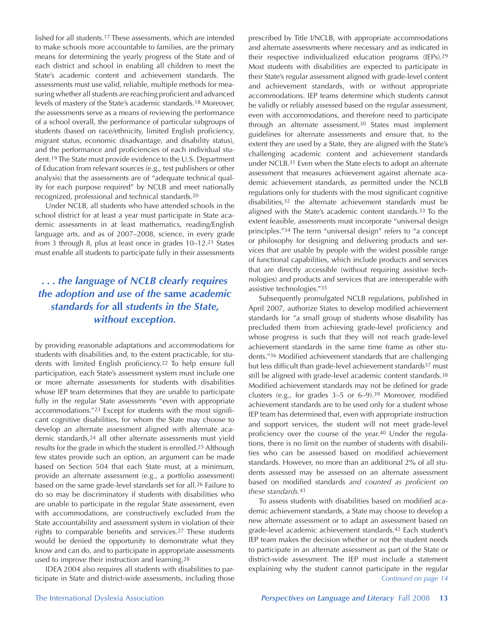lished for all students.17 These assessments, which are intended to make schools more accountable to families, are the primary means for determining the yearly progress of the State and of each district and school in enabling all children to meet the State's academic content and achievement standards. The assessments must use valid, reliable, multiple methods for measuring whether all students are reaching proficient and advanced levels of mastery of the State's academic standards.18 Moreover, the assessments serve as a means of reviewing the performance of a school overall, the performance of particular subgroups of students (based on race/ethnicity, limited English proficiency, migrant status, economic disadvantage, and disability status), and the performance and proficiencies of each individual student.19 The State must provide evidence to the U.S. Department of Education from relevant sources (e.g., test publishers or other analysis) that the assessments are of "adequate technical quality for each purpose required" by NCLB and meet nationally recognized, professional and technical standards.20

Under NCLB, all students who have attended schools in the school district for at least a year must participate in State academic assessments in at least mathematics, reading/English language arts, and as of 2007–2008, science, in every grade from 3 through 8, plus at least once in grades 10–12.21 States must enable all students to participate fully in their assessments

# *. . . the language of NCLB clearly requires the adoption and use of the* **same** *academic standards for* **all** *students in the State, without exception.*

by providing reasonable adaptations and accommodations for students with disabilities and, to the extent practicable, for students with limited English proficiency.22 To help ensure full participation, each State's assessment system must include one or more alternate assessments for students with disabilities whose IEP team determines that they are unable to participate fully in the regular State assessments "even with appropriate accommodations."23 Except for students with the most significant cognitive disabilities, for whom the State may choose to develop an alternate assessment aligned with alternate academic standards,24 all other alternate assessments must yield results for the grade in which the student is enrolled.25 Although few states provide such an option, an argument can be made based on Section 504 that each State must, at a minimum, provide an alternate assessment (e.g., a portfolio assessment) based on the same grade-level standards set for all.26 Failure to do so may be discriminatory if students with disabilities who are unable to participate in the regular State assessment, even with accommodations, are constructively excluded from the State accountability and assessment system in violation of their rights to comparable benefits and services.27 These students would be denied the opportunity to demonstrate what they know and can do, and to participate in appropriate assessments used to improve their instruction and learning.28

IDEA 2004 also requires all students with disabilities to participate in State and district-wide assessments, including those

prescribed by Title I/NCLB, with appropriate accommodations and alternate assessments where necessary and as indicated in their respective individualized education programs (IEPs).29 Most students with disabilities are expected to participate in their State's regular assessment aligned with grade-level content and achievement standards, with or without appropriate accommodations. IEP teams determine which students cannot be validly or reliably assessed based on the regular assessment, even with accommodations, and therefore need to participate through an alternate assessment.30 States must implement guidelines for alternate assessments and ensure that, to the extent they are used by a State, they are aligned with the State's challenging academic content and achievement standards under NCLB.31 Even when the State elects to adopt an alternate assessment that measures achievement against alternate academic achievement standards, as permitted under the NCLB regulations only for students with the most significant cognitive disabilities,32 the alternate achievement standards must be aligned with the State's academic content standards.33 To the extent feasible, assessments must incorporate "universal design principles."34 The term "universal design" refers to "a concept or philosophy for designing and delivering products and services that are usable by people with the widest possible range of functional capabilities, which include products and services that are directly accessible (without requiring assistive technologies) and products and services that are interoperable with assistive technologies."35

Subsequently promulgated NCLB regulations, published in April 2007, authorize States to develop modified achievement standards for "a small group of students whose disability has precluded them from achieving grade-level proficiency and whose progress is such that they will not reach grade-level achievement standards in the same time frame as other students."36 Modified achievement standards that are challenging but less difficult than grade-level achievement standards<sup>37</sup> must still be aligned with grade-level academic content standards.38 Modified achievement standards may not be defined for grade clusters (e.g., for grades 3–5 or 6–9).39 Moreover, modified achievement standards are to be used only for a student whose IEP team has determined that, even with appropriate instruction and support services, the student will not meet grade-level proficiency over the course of the year.40 Under the regulations, there is no limit on the number of students with disabilities who can be assessed based on modified achievement standards. However, no more than an additional 2% of all students assessed may be assessed on an alternate assessment based on modified standards *and counted as proficient on these standards*.41

To assess students with disabilities based on modified academic achievement standards, a State may choose to develop a new alternate assessment or to adapt an assessment based on grade-level academic achievement standards.42 Each student's IEP team makes the decision whether or not the student needs to participate in an alternate assessment as part of the State or district-wide assessment. The IEP must include a statement explaining why the student cannot participate in the regular *Continued on page 14*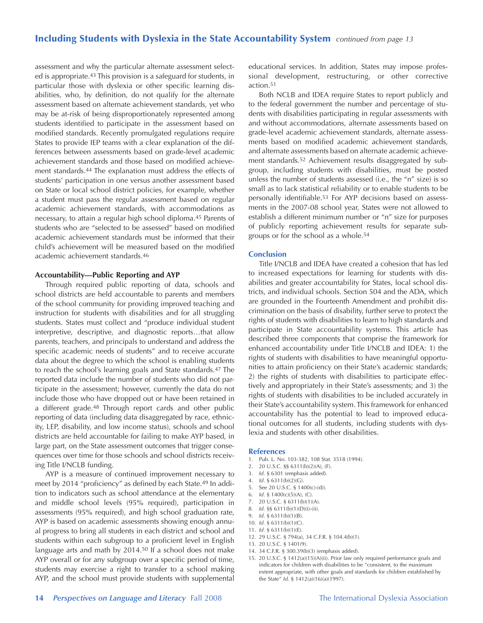# Including Students with Dyslexia in the State Accountability System *continued from page 13*

assessment and why the particular alternate assessment selected is appropriate.43 This provision is a safeguard for students, in particular those with dyslexia or other specific learning disabilities, who, by definition, do not qualify for the alternate assessment based on alternate achievement standards, yet who may be at-risk of being disproportionately represented among students identified to participate in the assessment based on modified standards. Recently promulgated regulations require States to provide IEP teams with a clear explanation of the differences between assessments based on grade-level academic achievement standards and those based on modified achievement standards.44 The explanation must address the effects of students' participation in one versus another assessment based on State or local school district policies, for example, whether a student must pass the regular assessment based on regular academic achievement standards, with accommodations as necessary, to attain a regular high school diploma.45 Parents of students who are "selected to be assessed" based on modified academic achievement standards must be informed that their child's achievement will be measured based on the modified academic achievement standards.46

#### **Accountability—Public Reporting and AYP**

Through required public reporting of data, schools and school districts are held accountable to parents and members of the school community for providing improved teaching and instruction for students with disabilities and for all struggling students. States must collect and "produce individual student interpretive, descriptive, and diagnostic reports…that allow parents, teachers, and principals to understand and address the specific academic needs of students" and to receive accurate data about the degree to which the school is enabling students to reach the school's learning goals and State standards.47 The reported data include the number of students who did not participate in the assessment; however, currently the data do not include those who have dropped out or have been retained in a different grade.48 Through report cards and other public reporting of data (including data disaggregated by race, ethnicity, LEP, disability, and low income status), schools and school districts are held accountable for failing to make AYP based, in large part, on the State assessment outcomes that trigger consequences over time for those schools and school districts receiving Title I/NCLB funding.

AYP is a measure of continued improvement necessary to meet by 2014 "proficiency" as defined by each State.49 In addition to indicators such as school attendance at the elementary and middle school levels (95% required), participation in assessments (95% required), and high school graduation rate, AYP is based on academic assessments showing enough annual progress to bring all students in each district and school and students within each subgroup to a proficient level in English language arts and math by 2014.50 If a school does not make AYP overall or for any subgroup over a specific period of time, students may exercise a right to transfer to a school making AYP, and the school must provide students with supplemental

educational services. In addition, States may impose professional development, restructuring, or other corrective action.51

Both NCLB and IDEA require States to report publicly and to the federal government the number and percentage of students with disabilities participating in regular assessments with and without accommodations, alternate assessments based on grade-level academic achievement standards, alternate assessments based on modified academic achievement standards, and alternate assessments based on alternate academic achievement standards.52 Achievement results disaggregated by subgroup, including students with disabilities, must be posted unless the number of students assessed (i.e., the "n" size) is so small as to lack statistical reliability or to enable students to be personally identifiable.53 For AYP decisions based on assessments in the 2007-08 school year, States were not allowed to establish a different minimum number or "n" size for purposes of publicly reporting achievement results for separate subgroups or for the school as a whole.54

#### **Conclusion**

Title I/NCLB and IDEA have created a cohesion that has led to increased expectations for learning for students with disabilities and greater accountability for States, local school districts, and individual schools. Section 504 and the ADA, which are grounded in the Fourteenth Amendment and prohibit discrimination on the basis of disability, further serve to protect the rights of students with disabilities to learn to high standards and participate in State accountability systems. This article has described three components that comprise the framework for enhanced accountability under Title I/NCLB and IDEA: 1) the rights of students with disabilities to have meaningful opportunities to attain proficiency on their State's academic standards; 2) the rights of students with disabilities to participate effectively and appropriately in their State's assessments; and 3) the rights of students with disabilities to be included accurately in their State's accountability system. This framework for enhanced accountability has the potential to lead to improved educational outcomes for all students, including students with dyslexia and students with other disabilities.

#### **References**

- 1. Pub. L. No. 103-382, 108 Stat. 3518 (1994).
- 2. 20 U.S.C. §§ 6311(b)(2)(A), (F).
- 3. *Id.* § 6301 (emphasis added).
- 4. *Id.* § 6311(b)(2)(G).
- 5. See 20 U.S.C. § 1400(c)-(d)).
- 6. *Id.* § 1400(c)(5)(A), (C).
- 7. 20 U.S.C. § 6311(b)(1)(A).
- 8. *Id.* §§ 6311(b)(1)(D)(i)-(ii).
- 9. *Id.* § 6311(b)(1)(B).
- 10. *Id.* § 6311(b)(1)(C).
- 11. *Id.* § 6311(b)(1)(E).
- 12. 29 U.S.C. § 794(a), 34 C.F.R. § 104.4(b)(1).
- 13. 20 U.S.C. § 1401(9).
- 14. 34 C.F.R. § 300.39(b)(3) (emphasis added).
- 15. 20 U.S.C. § 1412(a)(15)(A)(ii). Prior law only required performance goals and indicators for children with disabilities to be "consistent, to the maximum extent appropriate, with other goals and standards for children established by the State" *Id.* § 1412(a)(16)(a)(1997).